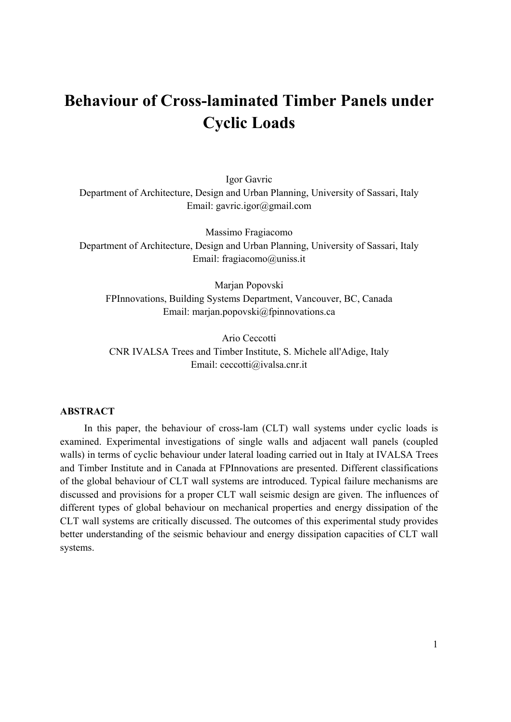# **Behaviour of Cross-laminated Timber Panels under Cyclic Loads**

Igor Gavric Department of Architecture, Design and Urban Planning, University of Sassari, Italy Email: gavric.igor@gmail.com

Massimo Fragiacomo Department of Architecture, Design and Urban Planning, University of Sassari, Italy Email: fragiacomo@uniss.it

Marjan Popovski FPInnovations, Building Systems Department, Vancouver, BC, Canada Email: marjan.popovski@fpinnovations.ca

Ario Ceccotti CNR IVALSA Trees and Timber Institute, S. Michele all'Adige, Italy Email: ceccotti@ivalsa.cnr.it

#### **ABSTRACT**

In this paper, the behaviour of cross-lam (CLT) wall systems under cyclic loads is examined. Experimental investigations of single walls and adjacent wall panels (coupled walls) in terms of cyclic behaviour under lateral loading carried out ìn Italy at IVALSA Trees and Timber Institute and in Canada at FPInnovations are presented. Different classifications of the global behaviour of CLT wall systems are introduced. Typical failure mechanisms are discussed and provisions for a proper CLT wall seismic design are given. The influences of different types of global behaviour on mechanical properties and energy dissipation of the CLT wall systems are critically discussed. The outcomes of this experimental study provides better understanding of the seismic behaviour and energy dissipation capacities of CLT wall systems.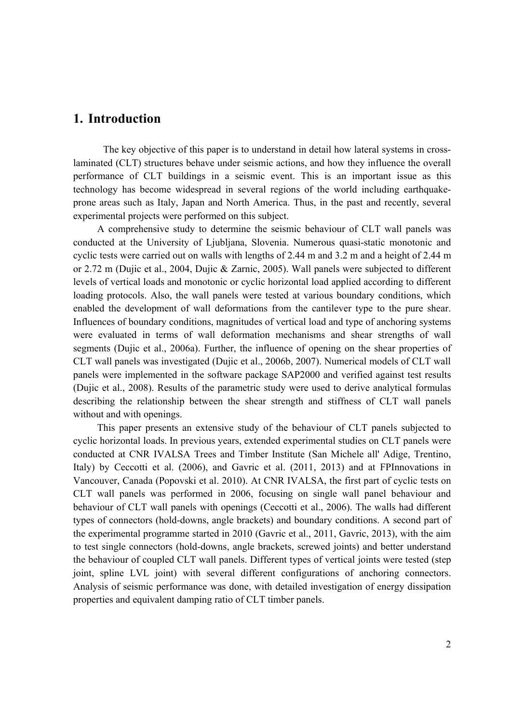## **1. Introduction**

The key objective of this paper is to understand in detail how lateral systems in crosslaminated (CLT) structures behave under seismic actions, and how they influence the overall performance of CLT buildings in a seismic event. This is an important issue as this technology has become widespread in several regions of the world including earthquakeprone areas such as Italy, Japan and North America. Thus, in the past and recently, several experimental projects were performed on this subject.

A comprehensive study to determine the seismic behaviour of CLT wall panels was conducted at the University of Ljubljana, Slovenia. Numerous quasi-static monotonic and cyclic tests were carried out on walls with lengths of 2.44 m and 3.2 m and a height of 2.44 m or 2.72 m (Dujic et al., 2004, Dujic & Zarnic, 2005). Wall panels were subjected to different levels of vertical loads and monotonic or cyclic horizontal load applied according to different loading protocols. Also, the wall panels were tested at various boundary conditions, which enabled the development of wall deformations from the cantilever type to the pure shear. Influences of boundary conditions, magnitudes of vertical load and type of anchoring systems were evaluated in terms of wall deformation mechanisms and shear strengths of wall segments (Dujic et al., 2006a). Further, the influence of opening on the shear properties of CLT wall panels was investigated (Dujic et al., 2006b, 2007). Numerical models of CLT wall panels were implemented in the software package SAP2000 and verified against test results (Dujic et al., 2008). Results of the parametric study were used to derive analytical formulas describing the relationship between the shear strength and stiffness of CLT wall panels without and with openings.

This paper presents an extensive study of the behaviour of CLT panels subjected to cyclic horizontal loads. In previous years, extended experimental studies on CLT panels were conducted at CNR IVALSA Trees and Timber Institute (San Michele all' Adige, Trentino, Italy) by Ceccotti et al. (2006), and Gavric et al. (2011, 2013) and at FPInnovations in Vancouver, Canada (Popovski et al. 2010). At CNR IVALSA, the first part of cyclic tests on CLT wall panels was performed in 2006, focusing on single wall panel behaviour and behaviour of CLT wall panels with openings (Ceccotti et al., 2006). The walls had different types of connectors (hold-downs, angle brackets) and boundary conditions. A second part of the experimental programme started in 2010 (Gavric et al., 2011, Gavric, 2013), with the aim to test single connectors (hold-downs, angle brackets, screwed joints) and better understand the behaviour of coupled CLT wall panels. Different types of vertical joints were tested (step joint, spline LVL joint) with several different configurations of anchoring connectors. Analysis of seismic performance was done, with detailed investigation of energy dissipation properties and equivalent damping ratio of CLT timber panels.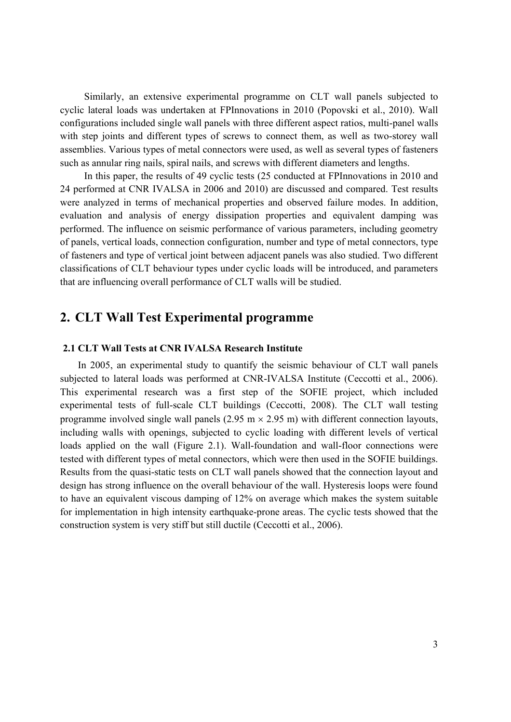Similarly, an extensive experimental programme on CLT wall panels subjected to cyclic lateral loads was undertaken at FPInnovations in 2010 (Popovski et al., 2010). Wall configurations included single wall panels with three different aspect ratios, multi-panel walls with step joints and different types of screws to connect them, as well as two-storey wall assemblies. Various types of metal connectors were used, as well as several types of fasteners such as annular ring nails, spiral nails, and screws with different diameters and lengths.

In this paper, the results of 49 cyclic tests (25 conducted at FPInnovations in 2010 and 24 performed at CNR IVALSA in 2006 and 2010) are discussed and compared. Test results were analyzed in terms of mechanical properties and observed failure modes. In addition, evaluation and analysis of energy dissipation properties and equivalent damping was performed. The influence on seismic performance of various parameters, including geometry of panels, vertical loads, connection configuration, number and type of metal connectors, type of fasteners and type of vertical joint between adjacent panels was also studied. Two different classifications of CLT behaviour types under cyclic loads will be introduced, and parameters that are influencing overall performance of CLT walls will be studied.

# **2. CLT Wall Test Experimental programme**

#### **2.1 CLT Wall Tests at CNR IVALSA Research Institute**

In 2005, an experimental study to quantify the seismic behaviour of CLT wall panels subjected to lateral loads was performed at CNR-IVALSA Institute (Ceccotti et al., 2006). This experimental research was a first step of the SOFIE project, which included experimental tests of full-scale CLT buildings (Ceccotti, 2008). The CLT wall testing programme involved single wall panels  $(2.95 \text{ m} \times 2.95 \text{ m})$  with different connection layouts, including walls with openings, subjected to cyclic loading with different levels of vertical loads applied on the wall (Figure 2.1). Wall-foundation and wall-floor connections were tested with different types of metal connectors, which were then used in the SOFIE buildings. Results from the quasi-static tests on CLT wall panels showed that the connection layout and design has strong influence on the overall behaviour of the wall. Hysteresis loops were found to have an equivalent viscous damping of 12% on average which makes the system suitable for implementation in high intensity earthquake-prone areas. The cyclic tests showed that the construction system is very stiff but still ductile (Ceccotti et al., 2006).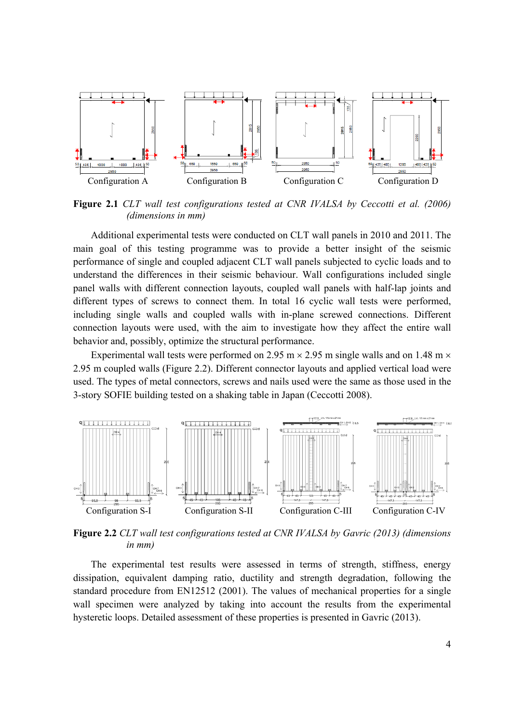

**Figure 2.1** *CLT wall test configurations tested at CNR IVALSA by Ceccotti et al. (2006) (dimensions in mm)* 

Additional experimental tests were conducted on CLT wall panels in 2010 and 2011. The main goal of this testing programme was to provide a better insight of the seismic performance of single and coupled adjacent CLT wall panels subjected to cyclic loads and to understand the differences in their seismic behaviour. Wall configurations included single panel walls with different connection layouts, coupled wall panels with half-lap joints and different types of screws to connect them. In total 16 cyclic wall tests were performed, including single walls and coupled walls with in-plane screwed connections. Different connection layouts were used, with the aim to investigate how they affect the entire wall behavior and, possibly, optimize the structural performance.

Experimental wall tests were performed on 2.95 m  $\times$  2.95 m single walls and on 1.48 m  $\times$ 2.95 m coupled walls (Figure 2.2). Different connector layouts and applied vertical load were used. The types of metal connectors, screws and nails used were the same as those used in the 3-story SOFIE building tested on a shaking table in Japan (Ceccotti 2008).



**Figure 2.2** *CLT wall test configurations tested at CNR IVALSA by Gavric (2013) (dimensions in mm)* 

The experimental test results were assessed in terms of strength, stiffness, energy dissipation, equivalent damping ratio, ductility and strength degradation, following the standard procedure from EN12512 (2001). The values of mechanical properties for a single wall specimen were analyzed by taking into account the results from the experimental hysteretic loops. Detailed assessment of these properties is presented in Gavric (2013).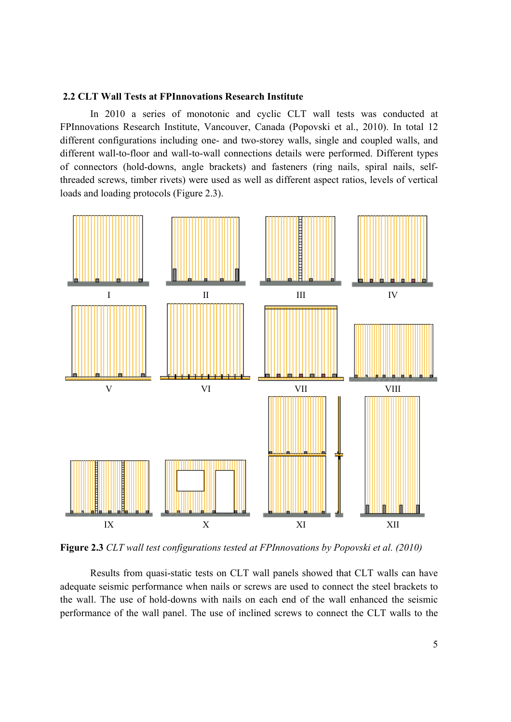#### **2.2 CLT Wall Tests at FPInnovations Research Institute**

In 2010 a series of monotonic and cyclic CLT wall tests was conducted at FPInnovations Research Institute, Vancouver, Canada (Popovski et al., 2010). In total 12 different configurations including one- and two-storey walls, single and coupled walls, and different wall-to-floor and wall-to-wall connections details were performed. Different types of connectors (hold-downs, angle brackets) and fasteners (ring nails, spiral nails, selfthreaded screws, timber rivets) were used as well as different aspect ratios, levels of vertical loads and loading protocols (Figure 2.3).



**Figure 2.3** *CLT wall test configurations tested at FPInnovations by Popovski et al. (2010)* 

Results from quasi-static tests on CLT wall panels showed that CLT walls can have adequate seismic performance when nails or screws are used to connect the steel brackets to the wall. The use of hold-downs with nails on each end of the wall enhanced the seismic performance of the wall panel. The use of inclined screws to connect the CLT walls to the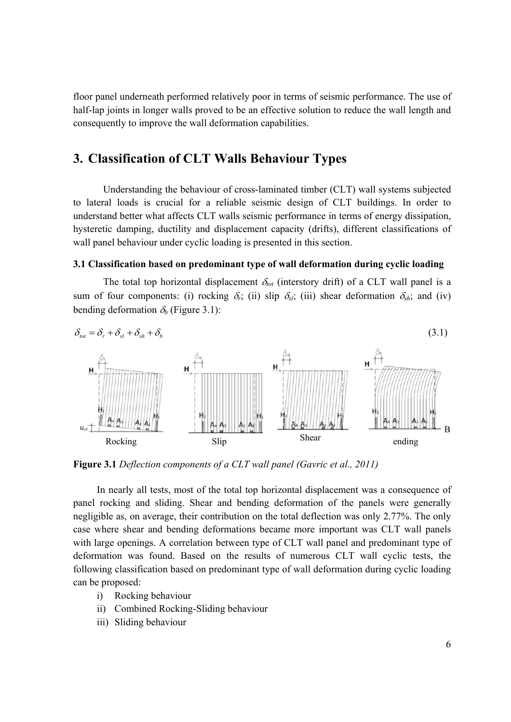floor panel underneath performed relatively poor in terms of seismic performance. The use of half-lap joints in longer walls proved to be an effective solution to reduce the wall length and consequently to improve the wall deformation capabilities.

# **3. Classification of CLT Walls Behaviour Types**

Understanding the behaviour of cross-laminated timber (CLT) wall systems subjected to lateral loads is crucial for a reliable seismic design of CLT buildings. In order to understand better what affects CLT walls seismic performance in terms of energy dissipation, hysteretic damping, ductility and displacement capacity (drifts), different classifications of wall panel behaviour under cyclic loading is presented in this section.

#### **3.1 Classification based on predominant type of wall deformation during cyclic loading**

The total top horizontal displacement  $\delta_{tot}$  (interstory drift) of a CLT wall panel is a sum of four components: (i) rocking  $\delta_i$ ; (ii) slip  $\delta_{si}$ ; (iii) shear deformation  $\delta_{sh}$ ; and (iv) bending deformation  $\delta_b$  (Figure 3.1):



**Figure 3.1** *Deflection components of a CLT wall panel (Gavric et al., 2011)* 

In nearly all tests, most of the total top horizontal displacement was a consequence of panel rocking and sliding. Shear and bending deformation of the panels were generally negligible as, on average, their contribution on the total deflection was only 2.77%. The only case where shear and bending deformations became more important was CLT wall panels with large openings. A correlation between type of CLT wall panel and predominant type of deformation was found. Based on the results of numerous CLT wall cyclic tests, the following classification based on predominant type of wall deformation during cyclic loading can be proposed:

- i) Rocking behaviour
- ii) Combined Rocking-Sliding behaviour
- iii) Sliding behaviour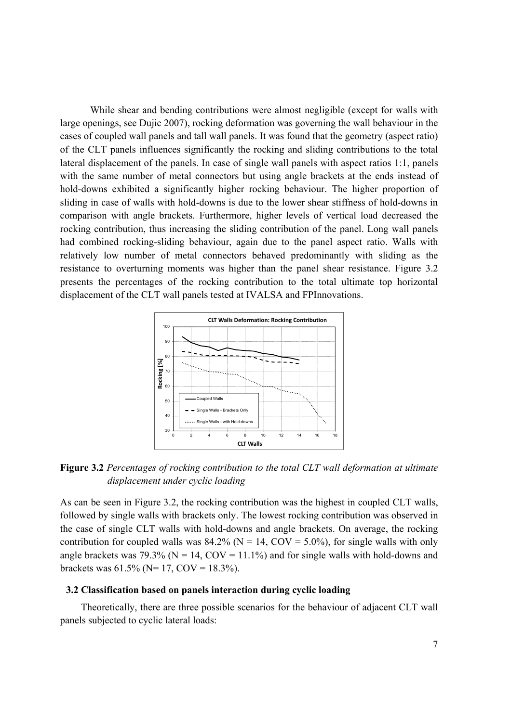While shear and bending contributions were almost negligible (except for walls with large openings, see Dujic 2007), rocking deformation was governing the wall behaviour in the cases of coupled wall panels and tall wall panels. It was found that the geometry (aspect ratio) of the CLT panels influences significantly the rocking and sliding contributions to the total lateral displacement of the panels. In case of single wall panels with aspect ratios 1:1, panels with the same number of metal connectors but using angle brackets at the ends instead of hold-downs exhibited a significantly higher rocking behaviour. The higher proportion of sliding in case of walls with hold-downs is due to the lower shear stiffness of hold-downs in comparison with angle brackets. Furthermore, higher levels of vertical load decreased the rocking contribution, thus increasing the sliding contribution of the panel. Long wall panels had combined rocking-sliding behaviour, again due to the panel aspect ratio. Walls with relatively low number of metal connectors behaved predominantly with sliding as the resistance to overturning moments was higher than the panel shear resistance. Figure 3.2 presents the percentages of the rocking contribution to the total ultimate top horizontal displacement of the CLT wall panels tested at IVALSA and FPInnovations.



**Figure 3.2** *Percentages of rocking contribution to the total CLT wall deformation at ultimate displacement under cyclic loading* 

As can be seen in Figure 3.2, the rocking contribution was the highest in coupled CLT walls, followed by single walls with brackets only. The lowest rocking contribution was observed in the case of single CLT walls with hold-downs and angle brackets. On average, the rocking contribution for coupled walls was  $84.2\%$  (N = 14, COV = 5.0%), for single walls with only angle brackets was 79.3% ( $N = 14$ ,  $COV = 11.1$ %) and for single walls with hold-downs and brackets was  $61.5\%$  (N= 17, COV = 18.3%).

#### **3.2 Classification based on panels interaction during cyclic loading**

Theoretically, there are three possible scenarios for the behaviour of adjacent CLT wall panels subjected to cyclic lateral loads: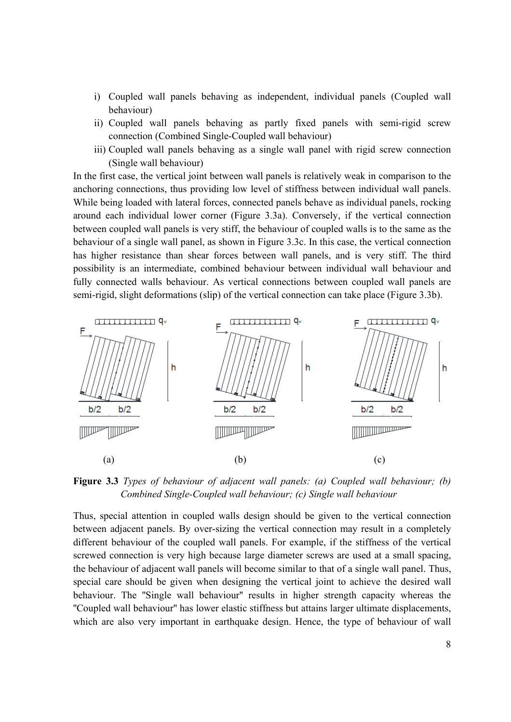- i) Coupled wall panels behaving as independent, individual panels (Coupled wall behaviour)
- ii) Coupled wall panels behaving as partly fixed panels with semi-rigid screw connection (Combined Single-Coupled wall behaviour)
- iii) Coupled wall panels behaving as a single wall panel with rigid screw connection (Single wall behaviour)

In the first case, the vertical joint between wall panels is relatively weak in comparison to the anchoring connections, thus providing low level of stiffness between individual wall panels. While being loaded with lateral forces, connected panels behave as individual panels, rocking around each individual lower corner (Figure 3.3a). Conversely, if the vertical connection between coupled wall panels is very stiff, the behaviour of coupled walls is to the same as the behaviour of a single wall panel, as shown in Figure 3.3c. In this case, the vertical connection has higher resistance than shear forces between wall panels, and is very stiff. The third possibility is an intermediate, combined behaviour between individual wall behaviour and fully connected walls behaviour. As vertical connections between coupled wall panels are semi-rigid, slight deformations (slip) of the vertical connection can take place (Figure 3.3b).



**Figure 3.3** *Types of behaviour of adjacent wall panels: (a) Coupled wall behaviour; (b) Combined Single-Coupled wall behaviour; (c) Single wall behaviour* 

Thus, special attention in coupled walls design should be given to the vertical connection between adjacent panels. By over-sizing the vertical connection may result in a completely different behaviour of the coupled wall panels. For example, if the stiffness of the vertical screwed connection is very high because large diameter screws are used at a small spacing, the behaviour of adjacent wall panels will become similar to that of a single wall panel. Thus, special care should be given when designing the vertical joint to achieve the desired wall behaviour. The ''Single wall behaviour'' results in higher strength capacity whereas the ''Coupled wall behaviour'' has lower elastic stiffness but attains larger ultimate displacements, which are also very important in earthquake design. Hence, the type of behaviour of wall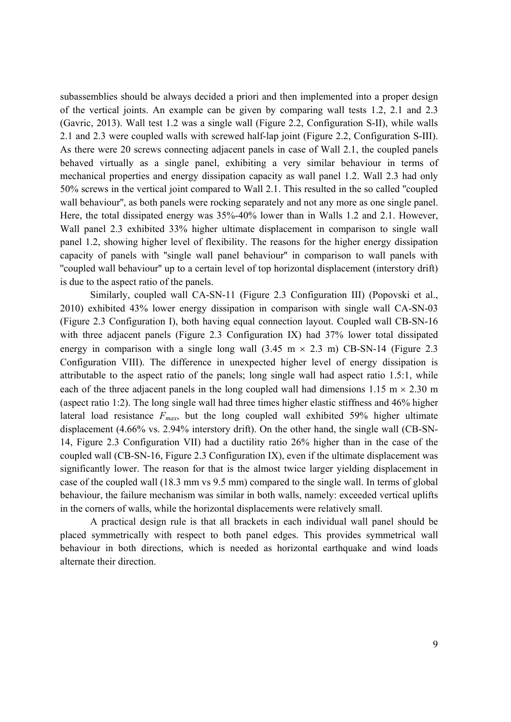subassemblies should be always decided a priori and then implemented into a proper design of the vertical joints. An example can be given by comparing wall tests 1.2, 2.1 and 2.3 (Gavric, 2013). Wall test 1.2 was a single wall (Figure 2.2, Configuration S-II), while walls 2.1 and 2.3 were coupled walls with screwed half-lap joint (Figure 2.2, Configuration S-III). As there were 20 screws connecting adjacent panels in case of Wall 2.1, the coupled panels behaved virtually as a single panel, exhibiting a very similar behaviour in terms of mechanical properties and energy dissipation capacity as wall panel 1.2. Wall 2.3 had only 50% screws in the vertical joint compared to Wall 2.1. This resulted in the so called ''coupled wall behaviour'', as both panels were rocking separately and not any more as one single panel. Here, the total dissipated energy was 35%-40% lower than in Walls 1.2 and 2.1. However, Wall panel 2.3 exhibited 33% higher ultimate displacement in comparison to single wall panel 1.2, showing higher level of flexibility. The reasons for the higher energy dissipation capacity of panels with ''single wall panel behaviour'' in comparison to wall panels with ''coupled wall behaviour'' up to a certain level of top horizontal displacement (interstory drift) is due to the aspect ratio of the panels.

Similarly, coupled wall CA-SN-11 (Figure 2.3 Configuration III) (Popovski et al., 2010) exhibited 43% lower energy dissipation in comparison with single wall CA-SN-03 (Figure 2.3 Configuration I), both having equal connection layout. Coupled wall CB-SN-16 with three adjacent panels (Figure 2.3 Configuration IX) had 37% lower total dissipated energy in comparison with a single long wall  $(3.45 \text{ m} \times 2.3 \text{ m})$  CB-SN-14 (Figure 2.3) Configuration VIII). The difference in unexpected higher level of energy dissipation is attributable to the aspect ratio of the panels; long single wall had aspect ratio 1.5:1, while each of the three adjacent panels in the long coupled wall had dimensions 1.15 m  $\times$  2.30 m (aspect ratio 1:2). The long single wall had three times higher elastic stiffness and 46% higher lateral load resistance  $F_{max}$ , but the long coupled wall exhibited 59% higher ultimate displacement (4.66% vs. 2.94% interstory drift). On the other hand, the single wall (CB-SN-14, Figure 2.3 Configuration VII) had a ductility ratio 26% higher than in the case of the coupled wall (CB-SN-16, Figure 2.3 Configuration IX), even if the ultimate displacement was significantly lower. The reason for that is the almost twice larger yielding displacement in case of the coupled wall (18.3 mm vs 9.5 mm) compared to the single wall. In terms of global behaviour, the failure mechanism was similar in both walls, namely: exceeded vertical uplifts in the corners of walls, while the horizontal displacements were relatively small.

A practical design rule is that all brackets in each individual wall panel should be placed symmetrically with respect to both panel edges. This provides symmetrical wall behaviour in both directions, which is needed as horizontal earthquake and wind loads alternate their direction.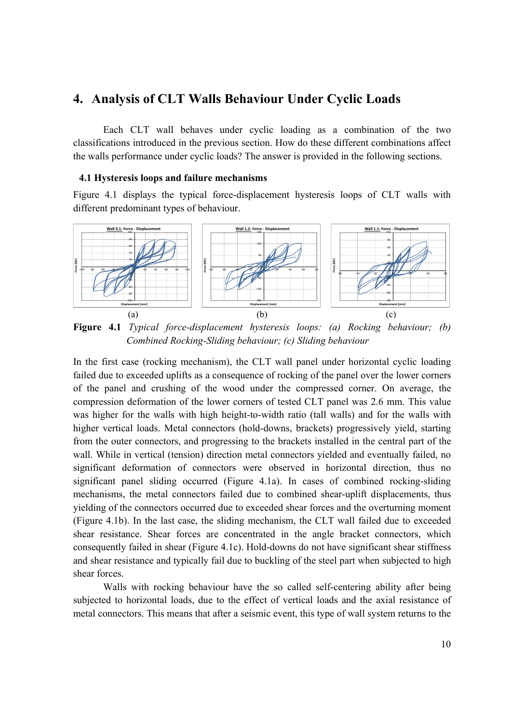## **4. Analysis of CLT Walls Behaviour Under Cyclic Loads**

Each CLT wall behaves under cyclic loading as a combination of the two classifications introduced in the previous section. How do these different combinations affect the walls performance under cyclic loads? The answer is provided in the following sections.

#### **4.1 Hysteresis loops and failure mechanisms**

Figure 4.1 displays the typical force-displacement hysteresis loops of CLT walls with different predominant types of behaviour.



**Figure 4.1** *Typical force-displacement hysteresis loops: (a) Rocking behaviour; (b) Combined Rocking-Sliding behaviour; (c) Sliding behaviour* 

In the first case (rocking mechanism), the CLT wall panel under horizontal cyclic loading failed due to exceeded uplifts as a consequence of rocking of the panel over the lower corners of the panel and crushing of the wood under the compressed corner. On average, the compression deformation of the lower corners of tested CLT panel was 2.6 mm. This value was higher for the walls with high height-to-width ratio (tall walls) and for the walls with higher vertical loads. Metal connectors (hold-downs, brackets) progressively yield, starting from the outer connectors, and progressing to the brackets installed in the central part of the wall. While in vertical (tension) direction metal connectors yielded and eventually failed, no significant deformation of connectors were observed in horizontal direction, thus no significant panel sliding occurred (Figure 4.1a). In cases of combined rocking-sliding mechanisms, the metal connectors failed due to combined shear-uplift displacements, thus yielding of the connectors occurred due to exceeded shear forces and the overturning moment (Figure 4.1b). In the last case, the sliding mechanism, the CLT wall failed due to exceeded shear resistance. Shear forces are concentrated in the angle bracket connectors, which consequently failed in shear (Figure 4.1c). Hold-downs do not have significant shear stiffness and shear resistance and typically fail due to buckling of the steel part when subjected to high shear forces.

Walls with rocking behaviour have the so called self-centering ability after being subjected to horizontal loads, due to the effect of vertical loads and the axial resistance of metal connectors. This means that after a seismic event, this type of wall system returns to the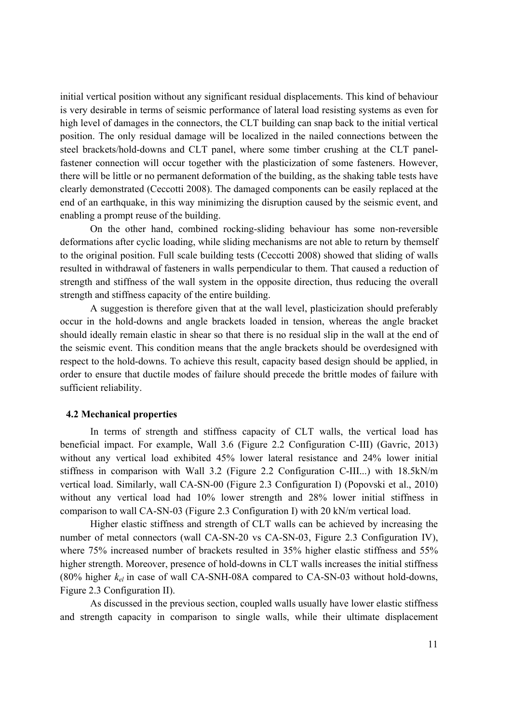initial vertical position without any significant residual displacements. This kind of behaviour is very desirable in terms of seismic performance of lateral load resisting systems as even for high level of damages in the connectors, the CLT building can snap back to the initial vertical position. The only residual damage will be localized in the nailed connections between the steel brackets/hold-downs and CLT panel, where some timber crushing at the CLT panelfastener connection will occur together with the plasticization of some fasteners. However, there will be little or no permanent deformation of the building, as the shaking table tests have clearly demonstrated (Ceccotti 2008). The damaged components can be easily replaced at the end of an earthquake, in this way minimizing the disruption caused by the seismic event, and enabling a prompt reuse of the building.

On the other hand, combined rocking-sliding behaviour has some non-reversible deformations after cyclic loading, while sliding mechanisms are not able to return by themself to the original position. Full scale building tests (Ceccotti 2008) showed that sliding of walls resulted in withdrawal of fasteners in walls perpendicular to them. That caused a reduction of strength and stiffness of the wall system in the opposite direction, thus reducing the overall strength and stiffness capacity of the entire building.

A suggestion is therefore given that at the wall level, plasticization should preferably occur in the hold-downs and angle brackets loaded in tension, whereas the angle bracket should ideally remain elastic in shear so that there is no residual slip in the wall at the end of the seismic event. This condition means that the angle brackets should be overdesigned with respect to the hold-downs. To achieve this result, capacity based design should be applied, in order to ensure that ductile modes of failure should precede the brittle modes of failure with sufficient reliability.

#### **4.2 Mechanical properties**

In terms of strength and stiffness capacity of CLT walls, the vertical load has beneficial impact. For example, Wall 3.6 (Figure 2.2 Configuration C-III) (Gavric, 2013) without any vertical load exhibited 45% lower lateral resistance and 24% lower initial stiffness in comparison with Wall 3.2 (Figure 2.2 Configuration C-III...) with 18.5kN/m vertical load. Similarly, wall CA-SN-00 (Figure 2.3 Configuration I) (Popovski et al., 2010) without any vertical load had 10% lower strength and 28% lower initial stiffness in comparison to wall CA-SN-03 (Figure 2.3 Configuration I) with 20 kN/m vertical load.

Higher elastic stiffness and strength of CLT walls can be achieved by increasing the number of metal connectors (wall CA-SN-20 vs CA-SN-03, Figure 2.3 Configuration IV), where 75% increased number of brackets resulted in 35% higher elastic stiffness and 55% higher strength. Moreover, presence of hold-downs in CLT walls increases the initial stiffness (80% higher  $k_{el}$  in case of wall CA-SNH-08A compared to CA-SN-03 without hold-downs, Figure 2.3 Configuration II).

As discussed in the previous section, coupled walls usually have lower elastic stiffness and strength capacity in comparison to single walls, while their ultimate displacement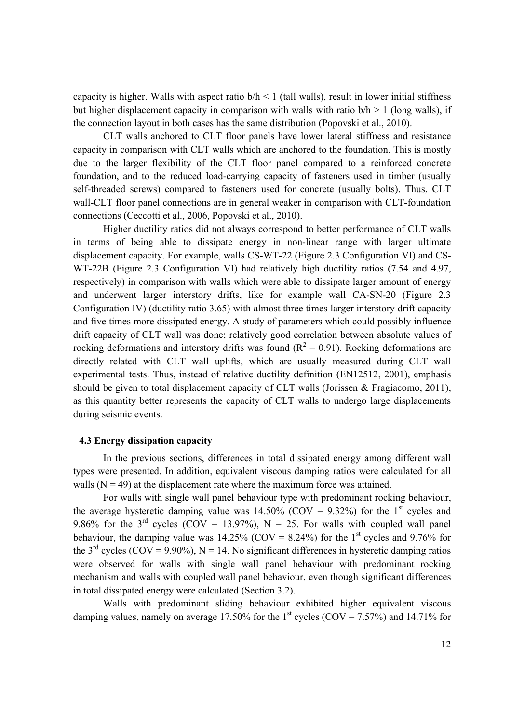capacity is higher. Walls with aspect ratio  $b/h < 1$  (tall walls), result in lower initial stiffness but higher displacement capacity in comparison with walls with ratio  $b/h > 1$  (long walls), if the connection layout in both cases has the same distribution (Popovski et al., 2010).

CLT walls anchored to CLT floor panels have lower lateral stiffness and resistance capacity in comparison with CLT walls which are anchored to the foundation. This is mostly due to the larger flexibility of the CLT floor panel compared to a reinforced concrete foundation, and to the reduced load-carrying capacity of fasteners used in timber (usually self-threaded screws) compared to fasteners used for concrete (usually bolts). Thus, CLT wall-CLT floor panel connections are in general weaker in comparison with CLT-foundation connections (Ceccotti et al., 2006, Popovski et al., 2010).

Higher ductility ratios did not always correspond to better performance of CLT walls in terms of being able to dissipate energy in non-linear range with larger ultimate displacement capacity. For example, walls CS-WT-22 (Figure 2.3 Configuration VI) and CS-WT-22B (Figure 2.3 Configuration VI) had relatively high ductility ratios (7.54 and 4.97, respectively) in comparison with walls which were able to dissipate larger amount of energy and underwent larger interstory drifts, like for example wall CA-SN-20 (Figure 2.3 Configuration IV) (ductility ratio 3.65) with almost three times larger interstory drift capacity and five times more dissipated energy. A study of parameters which could possibly influence drift capacity of CLT wall was done; relatively good correlation between absolute values of rocking deformations and interstory drifts was found ( $R^2 = 0.91$ ). Rocking deformations are directly related with CLT wall uplifts, which are usually measured during CLT wall experimental tests. Thus, instead of relative ductility definition (EN12512, 2001), emphasis should be given to total displacement capacity of CLT walls (Jorissen & Fragiacomo, 2011), as this quantity better represents the capacity of CLT walls to undergo large displacements during seismic events.

#### **4.3 Energy dissipation capacity**

In the previous sections, differences in total dissipated energy among different wall types were presented. In addition, equivalent viscous damping ratios were calculated for all walls  $(N = 49)$  at the displacement rate where the maximum force was attained.

For walls with single wall panel behaviour type with predominant rocking behaviour, the average hysteretic damping value was  $14.50\%$  (COV = 9.32%) for the 1<sup>st</sup> cycles and 9.86% for the 3<sup>rd</sup> cycles (COV = 13.97%),  $N = 25$ . For walls with coupled wall panel behaviour, the damping value was  $14.25\%$  (COV = 8.24%) for the 1<sup>st</sup> cycles and 9.76% for the 3<sup>rd</sup> cycles (COV = 9.90%), N = 14. No significant differences in hysteretic damping ratios were observed for walls with single wall panel behaviour with predominant rocking mechanism and walls with coupled wall panel behaviour, even though significant differences in total dissipated energy were calculated (Section 3.2).

Walls with predominant sliding behaviour exhibited higher equivalent viscous damping values, namely on average 17.50% for the 1<sup>st</sup> cycles (COV = 7.57%) and 14.71% for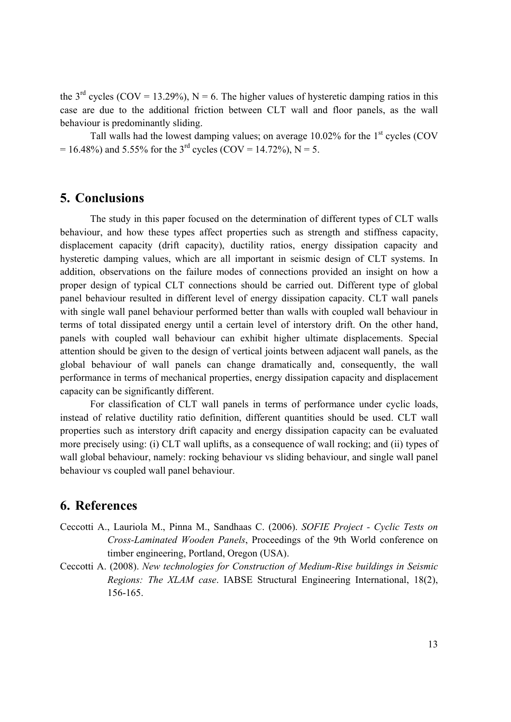the 3<sup>rd</sup> cycles (COV = 13.29%), N = 6. The higher values of hysteretic damping ratios in this case are due to the additional friction between CLT wall and floor panels, as the wall behaviour is predominantly sliding.

Tall walls had the lowest damping values; on average  $10.02\%$  for the  $1<sup>st</sup>$  cycles (COV  $= 16.48\%$ ) and 5.55% for the 3<sup>rd</sup> cycles (COV = 14.72%), N = 5.

### **5. Conclusions**

The study in this paper focused on the determination of different types of CLT walls behaviour, and how these types affect properties such as strength and stiffness capacity, displacement capacity (drift capacity), ductility ratios, energy dissipation capacity and hysteretic damping values, which are all important in seismic design of CLT systems. In addition, observations on the failure modes of connections provided an insight on how a proper design of typical CLT connections should be carried out. Different type of global panel behaviour resulted in different level of energy dissipation capacity. CLT wall panels with single wall panel behaviour performed better than walls with coupled wall behaviour in terms of total dissipated energy until a certain level of interstory drift. On the other hand, panels with coupled wall behaviour can exhibit higher ultimate displacements. Special attention should be given to the design of vertical joints between adjacent wall panels, as the global behaviour of wall panels can change dramatically and, consequently, the wall performance in terms of mechanical properties, energy dissipation capacity and displacement capacity can be significantly different.

For classification of CLT wall panels in terms of performance under cyclic loads, instead of relative ductility ratio definition, different quantities should be used. CLT wall properties such as interstory drift capacity and energy dissipation capacity can be evaluated more precisely using: (i) CLT wall uplifts, as a consequence of wall rocking; and (ii) types of wall global behaviour, namely: rocking behaviour vs sliding behaviour, and single wall panel behaviour vs coupled wall panel behaviour.

# **6. References**

- Ceccotti A., Lauriola M., Pinna M., Sandhaas C. (2006). *SOFIE Project Cyclic Tests on Cross-Laminated Wooden Panels*, Proceedings of the 9th World conference on timber engineering, Portland, Oregon (USA).
- Ceccotti A. (2008). *New technologies for Construction of Medium-Rise buildings in Seismic Regions: The XLAM case*. IABSE Structural Engineering International, 18(2), 156-165.